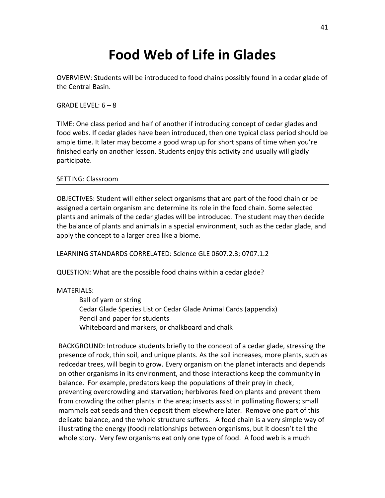## **Food Web of Life in Glades**

OVERVIEW: Students will be introduced to food chains possibly found in a cedar glade of the Central Basin.

 $GRADE IFVFI: 6-8$ 

TIME: One class period and half of another if introducing concept of cedar glades and food webs. If cedar glades have been introduced, then one typical class period should be ample time. It later may become a good wrap up for short spans of time when you're finished early on another lesson. Students enjoy this activity and usually will gladly participate.

## SETTING: Classroom

OBJECTIVES: Student will either select organisms that are part of the food chain or be assigned a certain organism and determine its role in the food chain. Some selected plants and animals of the cedar glades will be introduced. The student may then decide the balance of plants and animals in a special environment, such as the cedar glade, and apply the concept to a larger area like a biome.

LEARNING STANDARDS CORRELATED: Science GLE 0607.2.3; 0707.1.2

QUESTION: What are the possible food chains within a cedar glade?

## MATERIALS:

Ball of yarn or string Cedar Glade Species List or Cedar Glade Animal Cards (appendix) Pencil and paper for students Whiteboard and markers, or chalkboard and chalk

BACKGROUND: Introduce students briefly to the concept of a cedar glade, stressing the presence of rock, thin soil, and unique plants. As the soil increases, more plants, such as redcedar trees, will begin to grow. Every organism on the planet interacts and depends on other organisms in its environment, and those interactions keep the community in balance. For example, predators keep the populations of their prey in check, preventing overcrowding and starvation; herbivores feed on plants and prevent them from crowding the other plants in the area; insects assist in pollinating flowers; small mammals eat seeds and then deposit them elsewhere later. Remove one part of this delicate balance, and the whole structure suffers. A food chain is a very simple way of illustrating the energy (food) relationships between organisms, but it doesn't tell the whole story. Very few organisms eat only one type of food. A food web is a much